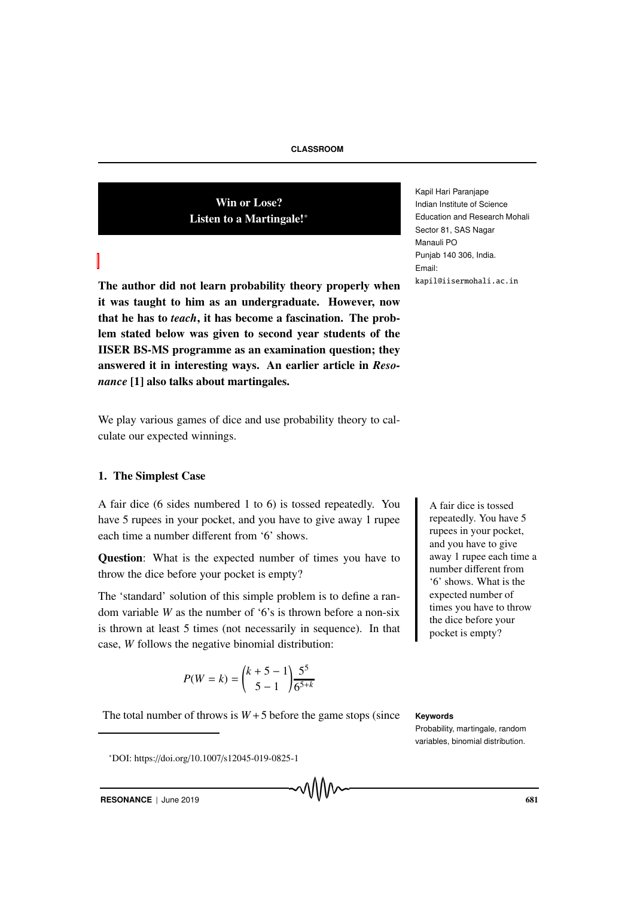Win or Lose? Listen to a Martingale!∗

The author did not learn probability theory properly when it was taught to him as an undergraduate. However, now that he has to *teach*, it has become a fascination. The problem stated below was given to second year students of the IISER BS-MS programme as an examination question; they answered it in interesting ways. An earlier article in *Resonance* [1] also talks about martingales.

We play various games of dice and use probability theory to calculate our expected winnings.

## 1. The Simplest Case

A fair dice (6 sides numbered 1 to 6) is tossed repeatedly. You A fair dice is tossed have 5 rupees in your pocket, and you have to give away 1 rupee each time a number different from '6' shows.

Question: What is the expected number of times you have to throw the dice before your pocket is empty?

The 'standard' solution of this simple problem is to define a random variable *W* as the number of '6's is thrown before a non-six is thrown at least 5 times (not necessarily in sequence). In that case, *W* follows the negative binomial distribution:

$$
P(W = k) = {k + 5 - 1 \choose 5 - 1} \frac{5^5}{6^{5+k}}
$$

The total number of throws is  $W + 5$  before the game stops (since **Keywords** 

<sup>∗</sup>DOI: https://doi.org/10.1007/s12045-019-0825-1

Kapil Hari Paranjape Indian Institute of Science Education and Research Mohali Sector 81, SAS Nagar Manauli PO Punjab 140 306, India. Email: kapil@iisermohali.ac.in kapil@iisermohali.ac.in

> repeatedly. You have 5 rupees in your pocket, and you have to give away 1 rupee each time a number different from '6' shows. What is the expected number of times you have to throw the dice before your pocket is empty?

Probability, martingale, random variables, binomial distribution.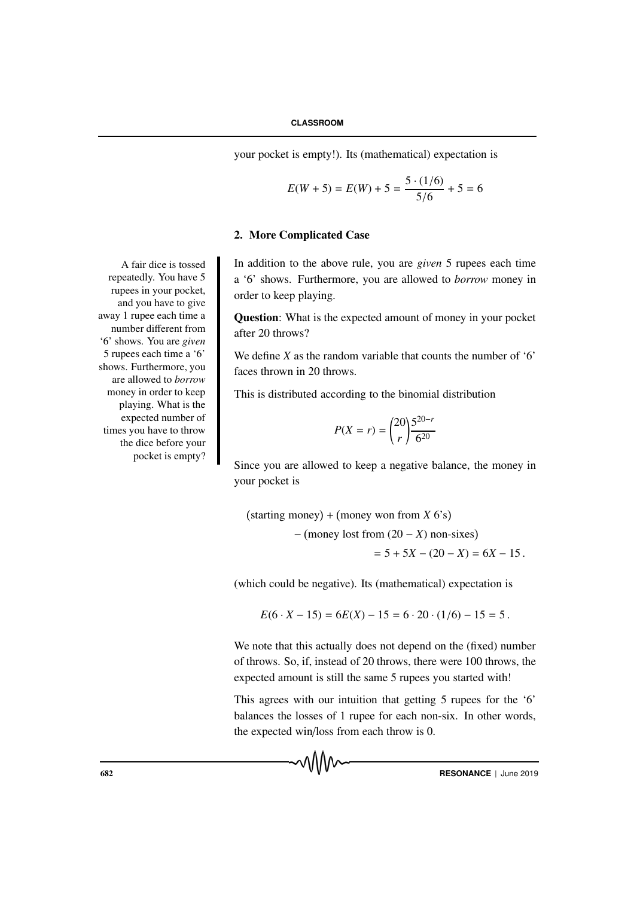your pocket is empty!). Its (mathematical) expectation is

$$
E(W + 5) = E(W) + 5 = \frac{5 \cdot (1/6)}{5/6} + 5 = 6
$$

## 2. More Complicated Case

addition to the above rule, you are *given* 5 rupees each time a '6' shows. Furthermore, you are allowed to *borrow* money in order to keep playing.

Question: What is the expected amount of money in your pocket after 20 throws?

We define *X* as the random variable that counts the number of '6' faces thrown in 20 throws.

This is distributed according to the binomial distribution

$$
P(X = r) = {20 \choose r} \frac{5^{20-r}}{6^{20}}
$$

Since you are allowed to keep a negative balance, the money in your pocket is

 $(starting money) + (money won from X 6's)$ − money lost from (20 − *X*) non-sixes  $= 5 + 5X - (20 - X) = 6X - 15$ .

(which could be negative). Its (mathematical) expectation is

$$
E(6 \cdot X - 15) = 6E(X) - 15 = 6 \cdot 20 \cdot (1/6) - 15 = 5.
$$

We note that this actually does not depend on the (fixed) number of throws. So, if, instead of 20 throws, there were 100 throws, the expected amount is still the same 5 rupees you started with!

This agrees with our intuition that getting 5 rupees for the '6' balances the losses of 1 rupee for each non-six. In other words, the expected win/loss from each throw is 0.

A fair dice is tossed repeatedly. You have 5 rupees in your pocket, and you have to give away 1 rupee each time a number different from '6' shows. You are *given* 5 rupees each time a '6' shows. Furthermore, you are allowed to *borrow* money in order to keep playing. What is the expected number of times you have to throw the dice before your pocket is empty?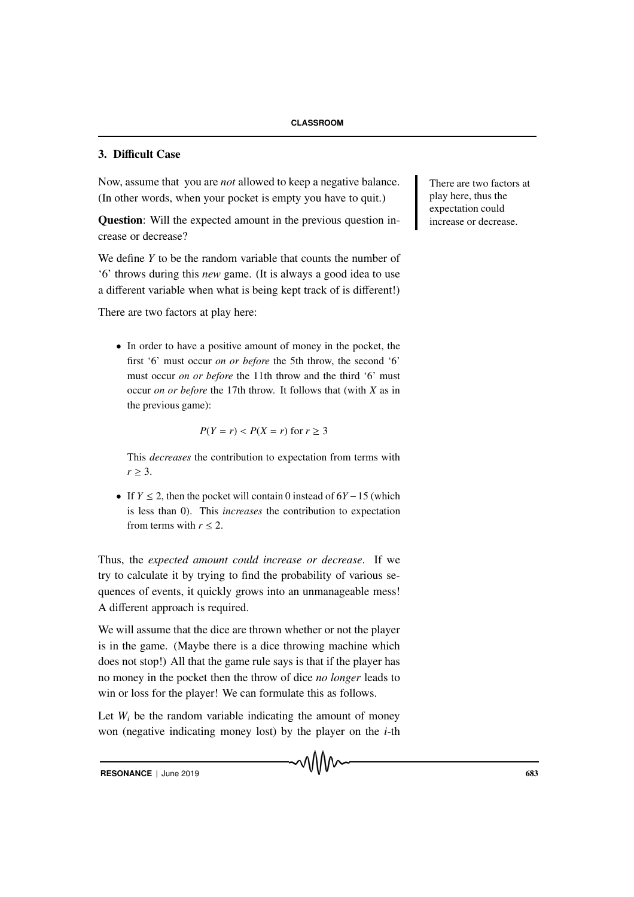## 3. Difficult Case

Now, assume that you are *not* allowed to keep a negative balance. There are two factors at (In other words, when your pocket is empty you have to quit.)

Question: Will the expected amount in the previous question increase or decrease?

We define *Y* to be the random variable that counts the number of '6' throws during this *new* game. (It is always a good idea to use a different variable when what is being kept track of is different!)

There are two factors at play here:

• In order to have a positive amount of money in the pocket, the first '6' must occur *on or before* the 5th throw, the second '6' must occur *on or before* the 11th throw and the third '6' must occur *on or before* the 17th throw. It follows that (with *X* as in the previous game):

$$
P(Y = r) < P(X = r) \text{ for } r \ge 3
$$

This *decreases* the contribution to expectation from terms with  $r > 3$ .

• If  $Y \le 2$ , then the pocket will contain 0 instead of  $6Y - 15$  (which is less than 0). This *increases* the contribution to expectation from terms with  $r \leq 2$ .

Thus, the *expected amount could increase or decrease*. If we try to calculate it by trying to find the probability of various sequences of events, it quickly grows into an unmanageable mess! A different approach is required.

We will assume that the dice are thrown whether or not the player is in the game. (Maybe there is a dice throwing machine which does not stop!) All that the game rule says is that if the player has no money in the pocket then the throw of dice *no longer* leads to win or loss for the player! We can formulate this as follows.

Let  $W_i$  be the random variable indicating the amount of money won (negative indicating money lost) by the player on the *i*-th play here, thus the expectation could increase or decrease.